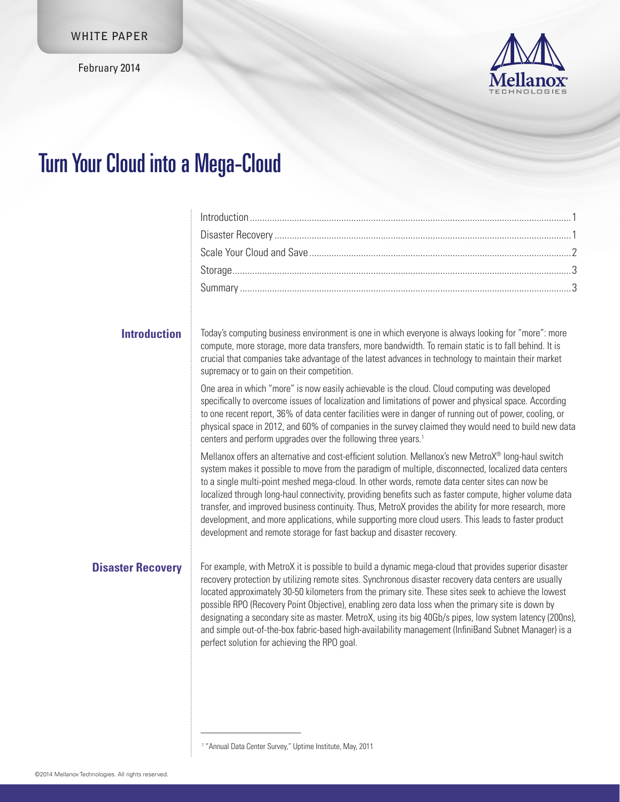February 2014



## Turn Your Cloud into a Mega-Cloud

| <b>Introduction</b>      | Today's computing business environment is one in which everyone is always looking for "more": more<br>compute, more storage, more data transfers, more bandwidth. To remain static is to fall behind. It is<br>crucial that companies take advantage of the latest advances in technology to maintain their market<br>supremacy or to gain on their competition.                                                                                                                                                                                                                                                                                                                                                  |  |
|--------------------------|-------------------------------------------------------------------------------------------------------------------------------------------------------------------------------------------------------------------------------------------------------------------------------------------------------------------------------------------------------------------------------------------------------------------------------------------------------------------------------------------------------------------------------------------------------------------------------------------------------------------------------------------------------------------------------------------------------------------|--|
|                          | One area in which "more" is now easily achievable is the cloud. Cloud computing was developed<br>specifically to overcome issues of localization and limitations of power and physical space. According<br>to one recent report, 36% of data center facilities were in danger of running out of power, cooling, or<br>physical space in 2012, and 60% of companies in the survey claimed they would need to build new data<br>centers and perform upgrades over the following three years. <sup>1</sup>                                                                                                                                                                                                           |  |
|                          | Mellanox offers an alternative and cost-efficient solution. Mellanox's new MetroX® long-haul switch<br>system makes it possible to move from the paradigm of multiple, disconnected, localized data centers<br>to a single multi-point meshed mega-cloud. In other words, remote data center sites can now be<br>localized through long-haul connectivity, providing benefits such as faster compute, higher volume data<br>transfer, and improved business continuity. Thus, MetroX provides the ability for more research, more<br>development, and more applications, while supporting more cloud users. This leads to faster product<br>development and remote storage for fast backup and disaster recovery. |  |
| <b>Disaster Recovery</b> | For example, with MetroX it is possible to build a dynamic mega-cloud that provides superior disaster<br>recovery protection by utilizing remote sites. Synchronous disaster recovery data centers are usually<br>located approximately 30-50 kilometers from the primary site. These sites seek to achieve the lowest<br>possible RPO (Recovery Point Objective), enabling zero data loss when the primary site is down by<br>designating a secondary site as master. MetroX, using its big 40Gb/s pipes, low system latency (200ns),<br>and simple out-of-the-box fabric-based high-availability management (InfiniBand Subnet Manager) is a<br>perfect solution for achieving the RPO goal.                    |  |
|                          |                                                                                                                                                                                                                                                                                                                                                                                                                                                                                                                                                                                                                                                                                                                   |  |

<sup>1</sup> "Annual Data Center Survey," Uptime Institute, May, 2011

\_\_\_\_\_\_\_\_\_\_\_\_\_\_\_\_\_\_\_\_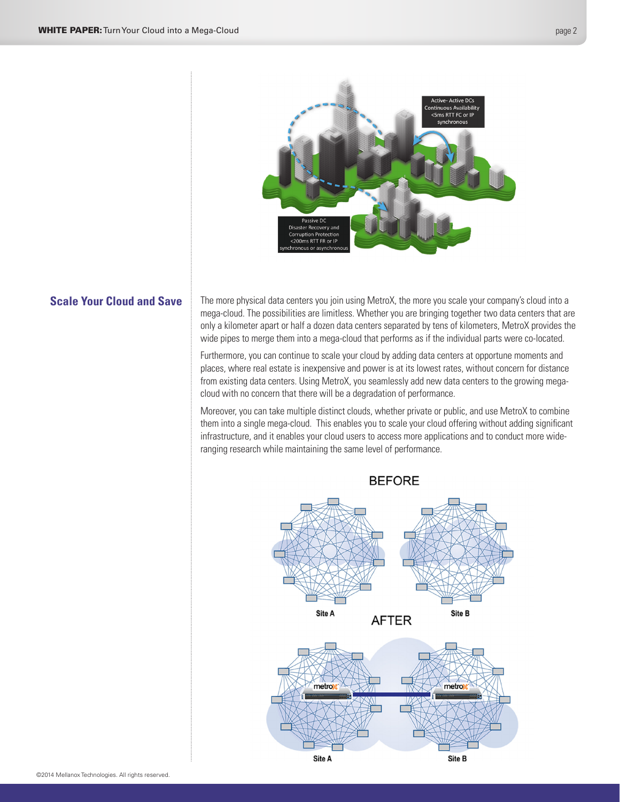<span id="page-1-0"></span>

## **Scale Your Cloud and Save**

The more physical data centers you join using MetroX, the more you scale your company's cloud into a mega-cloud. The possibilities are limitless. Whether you are bringing together two data centers that are only a kilometer apart or half a dozen data centers separated by tens of kilometers, MetroX provides the wide pipes to merge them into a mega-cloud that performs as if the individual parts were co-located.

Furthermore, you can continue to scale your cloud by adding data centers at opportune moments and places, where real estate is inexpensive and power is at its lowest rates, without concern for distance from existing data centers. Using MetroX, you seamlessly add new data centers to the growing megacloud with no concern that there will be a degradation of performance.

Moreover, you can take multiple distinct clouds, whether private or public, and use MetroX to combine them into a single mega-cloud. This enables you to scale your cloud offering without adding significant infrastructure, and it enables your cloud users to access more applications and to conduct more wideranging research while maintaining the same level of performance.